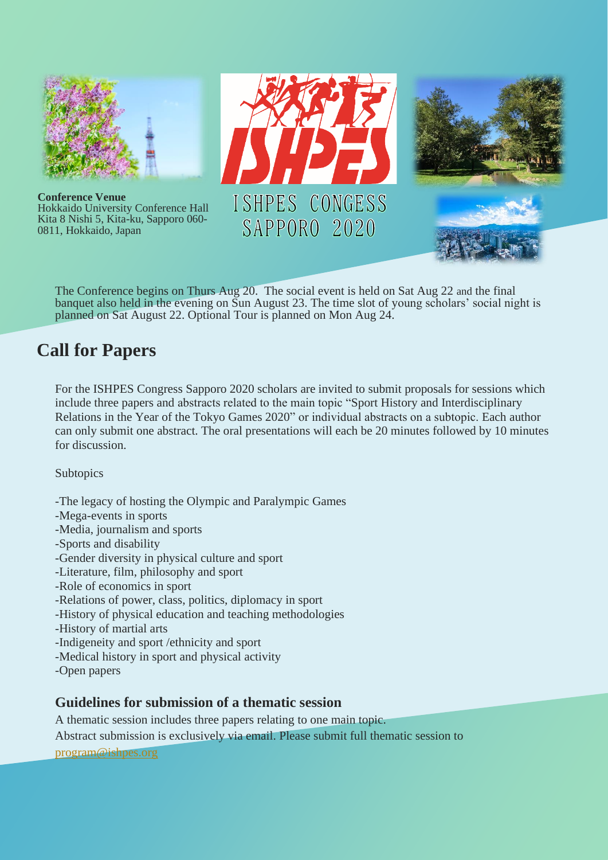

The Conference begins on Thurs Aug 20. The social event is held on Sat Aug 22 and the final banquet also held in the evening on Sun August 23. The time slot of young scholars' social night is planned on Sat August 22. Optional Tour is planned on Mon Aug 24.

# **Call for Papers**

For the ISHPES Congress Sapporo 2020 scholars are invited to submit proposals for sessions which include three papers and abstracts related to the main topic "Sport History and Interdisciplinary Relations in the Year of the Tokyo Games 2020" or individual abstracts on a subtopic. Each author can only submit one abstract. The oral presentations will each be 20 minutes followed by 10 minutes for discussion.

**Subtopics** 

-The legacy of hosting the Olympic and Paralympic Games -Mega-events in sports -Media, journalism and sports -Sports and disability -Gender diversity in physical culture and sport -Literature, film, philosophy and sport -Role of economics in sport -Relations of power, class, politics, diplomacy in sport -History of physical education and teaching methodologies -History of martial arts -Indigeneity and sport /ethnicity and sport -Medical history in sport and physical activity -Open papers

## **Guidelines for submission of a thematic session**

A thematic session includes three papers relating to one main topic.

Abstract submission is exclusively via email. Please submit full thematic session to

[program@ishpes.org](mailto:program@ishpes.org)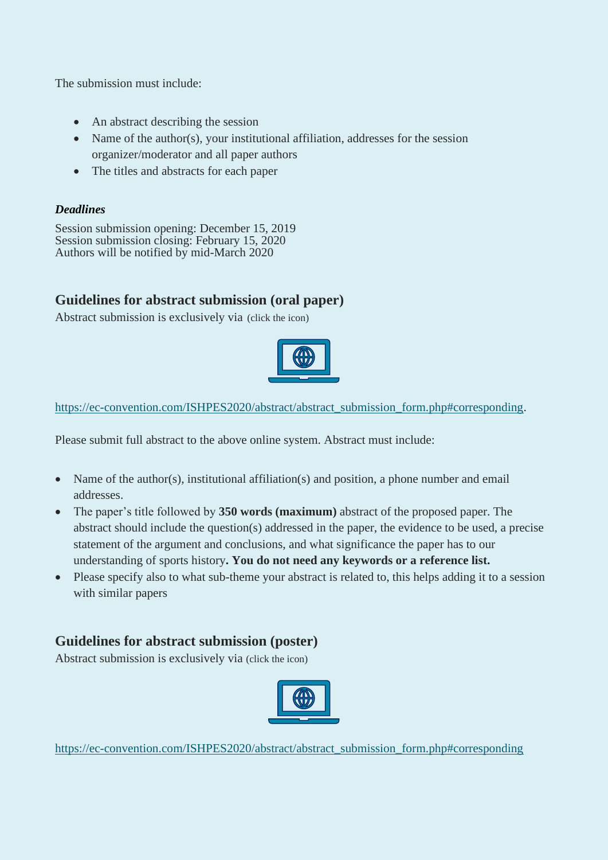The submission must include:

- An abstract describing the session
- Name of the author(s), your institutional affiliation, addresses for the session organizer/moderator and all paper authors
- The titles and abstracts for each paper

#### *Deadlines*

Session submission opening: December 15, 2019 Session submission closing: February 15, 2020 Authors will be notified by mid-March 2020

## **Guidelines for abstract submission (oral paper)**

Abstract submission is exclusively via (click the icon)



[https://ec-convention.com/ISHPES2020/abstract/abstract\\_submission\\_form.php#corresponding.](https://ec-convention.com/ISHPES2020/abstract/abstract_submission_form.php#corresponding)

Please submit full abstract to the above online system. Abstract must include:

- Name of the author(s), institutional affiliation(s) and position, a phone number and email addresses.
- The paper's title followed by **350 words (maximum)** abstract of the proposed paper. The abstract should include the question(s) addressed in the paper, the evidence to be used, a precise statement of the argument and conclusions, and what significance the paper has to our understanding of sports history**. You do not need any keywords or a reference list.**
- Please specify also to what sub-theme your abstract is related to, this helps adding it to a session with similar papers

## **Guidelines for abstract submission (poster)**

Abstract submission is exclusively via (click the icon)



[https://ec-convention.com/ISHPES2020/abstract/abstract\\_submission\\_form.php#corresponding](https://ec-convention.com/ISHPES2020/abstract/abstract_submission_form.php#corresponding)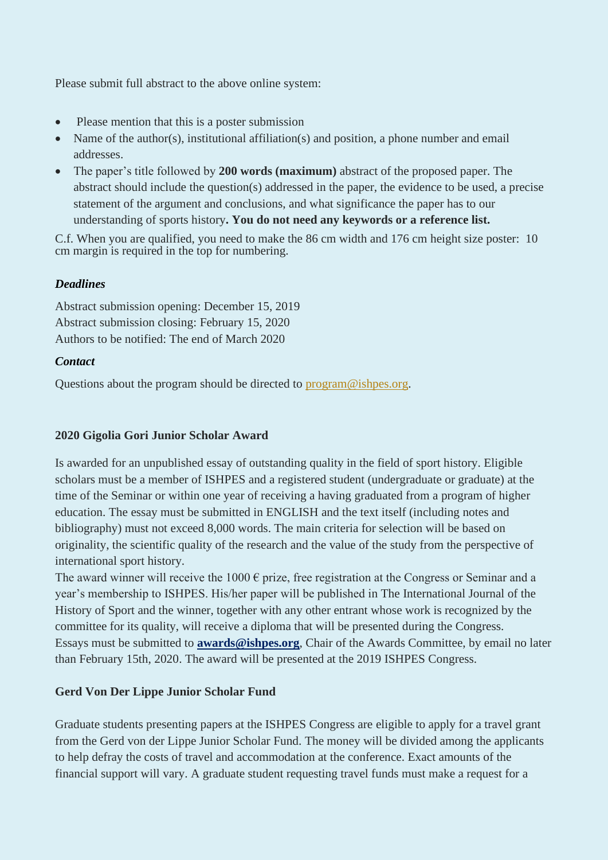Please submit full abstract to the above online system:

- Please mention that this is a poster submission
- Name of the author(s), institutional affiliation(s) and position, a phone number and email addresses.
- The paper's title followed by **200 words (maximum)** abstract of the proposed paper. The abstract should include the question(s) addressed in the paper, the evidence to be used, a precise statement of the argument and conclusions, and what significance the paper has to our understanding of sports history**. You do not need any keywords or a reference list.**

C.f. When you are qualified, you need to make the 86 cm width and 176 cm height size poster: 10 cm margin is required in the top for numbering.

### *Deadlines*

Abstract submission opening: December 15, 2019 Abstract submission closing: February 15, 2020 Authors to be notified: The end of March 2020

#### *Contact*

Questions about the program should be directed to [program@ishpes.org.](mailto:program@ishpes.org)

## **2020 Gigolia Gori Junior Scholar Award**

Is awarded for an unpublished essay of outstanding quality in the field of sport history. Eligible scholars must be a member of ISHPES and a registered student (undergraduate or graduate) at the time of the Seminar or within one year of receiving a having graduated from a program of higher education. The essay must be submitted in ENGLISH and the text itself (including notes and bibliography) must not exceed 8,000 words. The main criteria for selection will be based on originality, the scientific quality of the research and the value of the study from the perspective of international sport history.

The award winner will receive the 1000  $\epsilon$  prize, free registration at the Congress or Seminar and a year's membership to ISHPES. His/her paper will be published in The International Journal of the History of Sport and the winner, together with any other entrant whose work is recognized by the committee for its quality, will receive a diploma that will be presented during the Congress. Essays must be submitted to **awards@ishpes.org**, Chair of the Awards Committee, by email no later than February 15th, 2020. The award will be presented at the 2019 ISHPES Congress.

## **Gerd Von Der Lippe Junior Scholar Fund**

Graduate students presenting papers at the ISHPES Congress are eligible to apply for a travel grant from the Gerd von der Lippe Junior Scholar Fund. The money will be divided among the applicants to help defray the costs of travel and accommodation at the conference. Exact amounts of the financial support will vary. A graduate student requesting travel funds must make a request for a